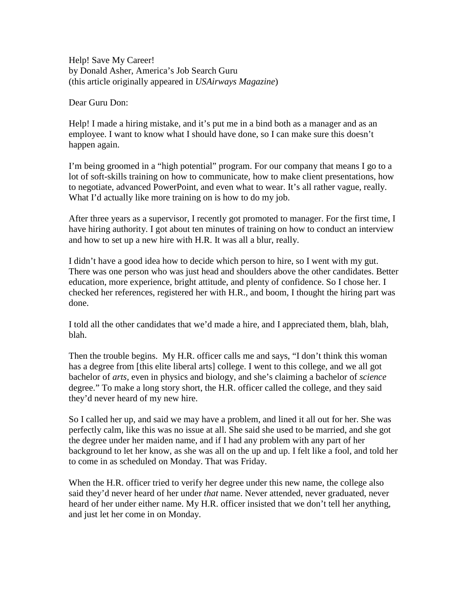Help! Save My Career! by Donald Asher, America's Job Search Guru (this article originally appeared in *USAirways Magazine*)

Dear Guru Don:

Help! I made a hiring mistake, and it's put me in a bind both as a manager and as an employee. I want to know what I should have done, so I can make sure this doesn't happen again.

I'm being groomed in a "high potential" program. For our company that means I go to a lot of soft-skills training on how to communicate, how to make client presentations, how to negotiate, advanced PowerPoint, and even what to wear. It's all rather vague, really. What I'd actually like more training on is how to do my job.

After three years as a supervisor, I recently got promoted to manager. For the first time, I have hiring authority. I got about ten minutes of training on how to conduct an interview and how to set up a new hire with H.R. It was all a blur, really.

I didn't have a good idea how to decide which person to hire, so I went with my gut. There was one person who was just head and shoulders above the other candidates. Better education, more experience, bright attitude, and plenty of confidence. So I chose her. I checked her references, registered her with H.R., and boom, I thought the hiring part was done.

I told all the other candidates that we'd made a hire, and I appreciated them, blah, blah, blah.

Then the trouble begins. My H.R. officer calls me and says, "I don't think this woman has a degree from [this elite liberal arts] college. I went to this college, and we all got bachelor of *arts,* even in physics and biology, and she's claiming a bachelor of *science*  degree." To make a long story short, the H.R. officer called the college, and they said they'd never heard of my new hire.

So I called her up, and said we may have a problem, and lined it all out for her. She was perfectly calm, like this was no issue at all. She said she used to be married, and she got the degree under her maiden name, and if I had any problem with any part of her background to let her know, as she was all on the up and up. I felt like a fool, and told her to come in as scheduled on Monday. That was Friday.

When the H.R. officer tried to verify her degree under this new name, the college also said they'd never heard of her under *that* name. Never attended, never graduated, never heard of her under either name. My H.R. officer insisted that we don't tell her anything, and just let her come in on Monday.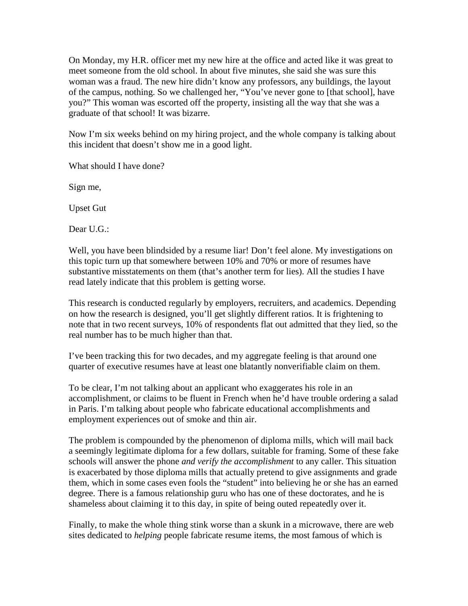On Monday, my H.R. officer met my new hire at the office and acted like it was great to meet someone from the old school. In about five minutes, she said she was sure this woman was a fraud. The new hire didn't know any professors, any buildings, the layout of the campus, nothing. So we challenged her, "You've never gone to [that school], have you?" This woman was escorted off the property, insisting all the way that she was a graduate of that school! It was bizarre.

Now I'm six weeks behind on my hiring project, and the whole company is talking about this incident that doesn't show me in a good light.

What should I have done?

Sign me,

Upset Gut

Dear U.G.:

Well, you have been blindsided by a resume liar! Don't feel alone. My investigations on this topic turn up that somewhere between 10% and 70% or more of resumes have substantive misstatements on them (that's another term for lies). All the studies I have read lately indicate that this problem is getting worse.

This research is conducted regularly by employers, recruiters, and academics. Depending on how the research is designed, you'll get slightly different ratios. It is frightening to note that in two recent surveys, 10% of respondents flat out admitted that they lied, so the real number has to be much higher than that.

I've been tracking this for two decades, and my aggregate feeling is that around one quarter of executive resumes have at least one blatantly nonverifiable claim on them.

To be clear, I'm not talking about an applicant who exaggerates his role in an accomplishment, or claims to be fluent in French when he'd have trouble ordering a salad in Paris. I'm talking about people who fabricate educational accomplishments and employment experiences out of smoke and thin air.

The problem is compounded by the phenomenon of diploma mills, which will mail back a seemingly legitimate diploma for a few dollars, suitable for framing. Some of these fake schools will answer the phone *and verify the accomplishment* to any caller. This situation is exacerbated by those diploma mills that actually pretend to give assignments and grade them, which in some cases even fools the "student" into believing he or she has an earned degree. There is a famous relationship guru who has one of these doctorates, and he is shameless about claiming it to this day, in spite of being outed repeatedly over it.

Finally, to make the whole thing stink worse than a skunk in a microwave, there are web sites dedicated to *helping* people fabricate resume items, the most famous of which is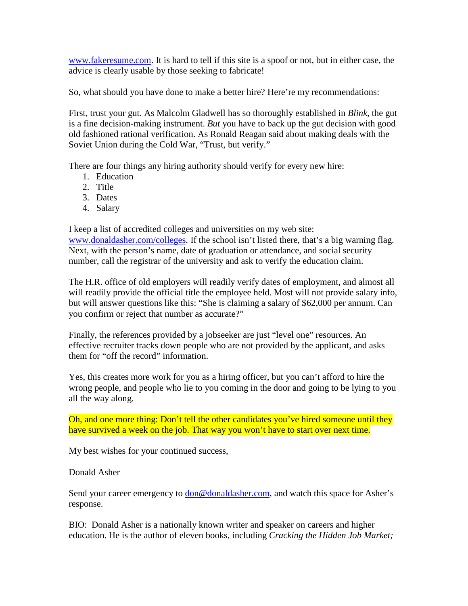[www.fakeresume.com.](http://www.fakeresume.com/) It is hard to tell if this site is a spoof or not, but in either case, the advice is clearly usable by those seeking to fabricate!

So, what should you have done to make a better hire? Here're my recommendations:

First, trust your gut. As Malcolm Gladwell has so thoroughly established in *Blink*, the gut is a fine decision-making instrument. *But* you have to back up the gut decision with good old fashioned rational verification. As Ronald Reagan said about making deals with the Soviet Union during the Cold War, "Trust, but verify."

There are four things any hiring authority should verify for every new hire:

- 1. Education
- 2. Title
- 3. Dates
- 4. Salary

I keep a list of accredited colleges and universities on my web site: [www.donaldasher.com/colleges.](http://www.donaldasher.com/colleges) If the school isn't listed there, that's a big warning flag. Next, with the person's name, date of graduation or attendance, and social security number, call the registrar of the university and ask to verify the education claim.

The H.R. office of old employers will readily verify dates of employment, and almost all will readily provide the official title the employee held. Most will not provide salary info, but will answer questions like this: "She is claiming a salary of \$62,000 per annum. Can you confirm or reject that number as accurate?"

Finally, the references provided by a jobseeker are just "level one" resources. An effective recruiter tracks down people who are not provided by the applicant, and asks them for "off the record" information.

Yes, this creates more work for you as a hiring officer, but you can't afford to hire the wrong people, and people who lie to you coming in the door and going to be lying to you all the way along.

Oh, and one more thing: Don't tell the other candidates you've hired someone until they have survived a week on the job. That way you won't have to start over next time.

My best wishes for your continued success,

## Donald Asher

Send your career emergency to **don@donaldasher.com**, and watch this space for Asher's response.

BIO: Donald Asher is a nationally known writer and speaker on careers and higher education. He is the author of eleven books, including *Cracking the Hidden Job Market;*